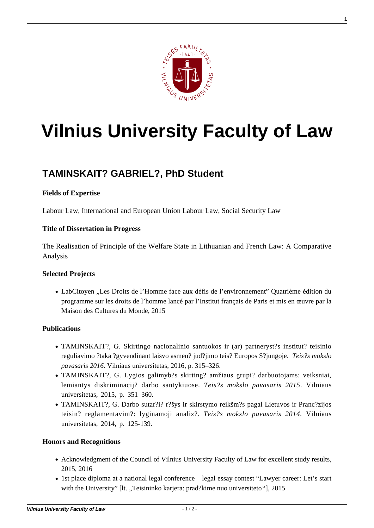

**1**

# **[Vilnius University Faculty of Law](https://www.tf.vu.lt/)**

# **[TAMINSKAIT? GABRIEL?, PhD Student](https://www.tf.vu.lt/about_us/science-centers/science-center-of-labour-law/taminskaite-gabriele-phd-student/)**

# **Fields of Expertise**

Labour Law, International and European Union Labour Law, Social Security Law

#### **Title of Dissertation in Progress**

The Realisation of Principle of the Welfare State in Lithuanian and French Law: A Comparative Analysis

#### **Selected Projects**

LabCitoyen "Les Droits de l'Homme face aux défis de l'environnement" Quatrième édition du programme sur les droits de l'homme lancé par l'Institut français de Paris et mis en œuvre par la Maison des Cultures du Monde, 2015

# **Publications**

- [TAMINSKAIT?, G. Skirtingo nacionalinio santuokos ir \(ar\) partneryst?s institut? teisinio](https://www.tf.vu.lt//wp-content/uploads/2016/02/VU-TF-SMD-Teises-mokslo-pavasaris-2016.pdf) [reguliavimo ?taka ?gyvendinant laisvo asmen? jud?jimo teis? Europos S?jungoje.](https://www.tf.vu.lt//wp-content/uploads/2016/02/VU-TF-SMD-Teises-mokslo-pavasaris-2016.pdf) *[Teis?s mokslo](https://www.tf.vu.lt//wp-content/uploads/2016/02/VU-TF-SMD-Teises-mokslo-pavasaris-2016.pdf) [pavasaris 2016](https://www.tf.vu.lt//wp-content/uploads/2016/02/VU-TF-SMD-Teises-mokslo-pavasaris-2016.pdf)*[. Vilniaus universitetas, 2016, p. 315–326.](https://www.tf.vu.lt//wp-content/uploads/2016/02/VU-TF-SMD-Teises-mokslo-pavasaris-2016.pdf)
- [TAMINSKAIT?, G. Lygios galimyb?s skirting? amžiaus grupi? darbuotojams: veiksniai,](https://www.tf.vu.lt//wp-content/uploads/2016/10/VU_TF_SMD_Teises-mokslo-pavasaris-2015.pdf) [lemiantys diskriminacij? darbo santykiuose.](https://www.tf.vu.lt//wp-content/uploads/2016/10/VU_TF_SMD_Teises-mokslo-pavasaris-2015.pdf) *[Teis?s mokslo pavasaris 2015](https://www.tf.vu.lt//wp-content/uploads/2016/10/VU_TF_SMD_Teises-mokslo-pavasaris-2015.pdf)*[. Vilniaus](https://www.tf.vu.lt//wp-content/uploads/2016/10/VU_TF_SMD_Teises-mokslo-pavasaris-2015.pdf) [universitetas, 2015, p. 351–360.](https://www.tf.vu.lt//wp-content/uploads/2016/10/VU_TF_SMD_Teises-mokslo-pavasaris-2015.pdf)
- TAMINSKAIT?, G. Darbo sutar?i? r?šys ir skirstymo reikšm?s pagal Lietuvos ir Pranc?zijos teisin? reglamentavim?: lyginamoji analiz?. *Teis?s mokslo pavasaris 2014.* Vilniaus universitetas, 2014, p. 125-139.

# **Honors and Recognitions**

- Acknowledgment of the Council of Vilnius University Faculty of Law for excellent study results, 2015, 2016
- 1st place diploma at a national legal conference legal essay contest "Lawyer career: Let's start with the University" [lt. "Teisininko karjera: prad?kime nuo universiteto"], 2015